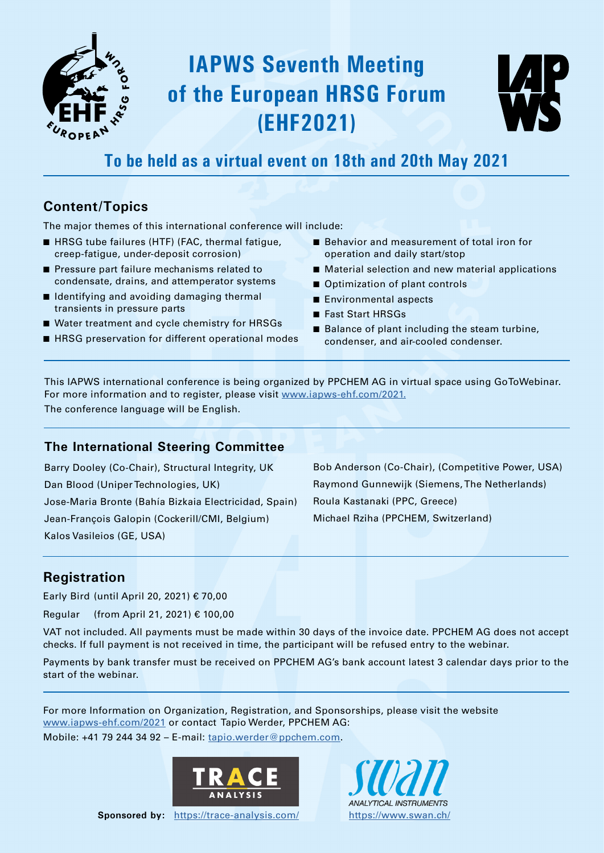

# **IAPWS Seventh Meeting of the European HRSG Forum (EHF2021)**



### **To be held as a virtual event on 18th and 20th May 2021**

### **Content/Topics**

The major themes of this international conference will include:

- HRSG tube failures (HTF) (FAC, thermal fatigue, creep-fatigue, under-deposit corrosion)
- Pressure part failure mechanisms related to condensate, drains, and attemperator systems
- Identifying and avoiding damaging thermal transients in pressure parts
- Water treatment and cycle chemistry for HRSGs
- HRSG preservation for different operational modes
- Behavior and measurement of total iron for operation and daily start/stop
- Material selection and new material applications
- Optimization of plant controls
- Environmental aspects
- Fast Start HRSGs
- Balance of plant including the steam turbine, condenser, and air-cooled condenser.

This IAPWS international conference is being organized by PPCHEM AG in virtual space using GoToWebinar. For more information and to register, please visit [www.iapws-ehf.com/2021.](http://www.iapws-ehf.com/2021.) The conference language will be English.

#### **The International Steering Committee**

Barry Dooley (Co-Chair), Structural Integrity, UK Dan Blood (Uniper Technologies, UK) Jose-Maria Bronte (Bahía Bizkaia Electricidad, Spain) Jean-François Galopin (Cockerill/CMI, Belgium) Kalos Vasileios (GE, USA)

Bob Anderson (Co-Chair), (Competitive Power, USA) Raymond Gunnewijk (Siemens, The Netherlands) Roula Kastanaki (PPC, Greece) Michael Rziha (PPCHEM, Switzerland)

### **Registration**

Early Bird (until April 20, 2021) € 70,00

Regular (from April 21, 2021) € 100,00

VAT not included. All payments must be made within 30 days of the invoice date. PPCHEM AG does not accept checks. If full payment is not received in time, the participant will be refused entry to the webinar.

Payments by bank transfer must be received on PPCHEM AG's bank account latest 3 calendar days prior to the start of the webinar.

For more Information on Organization, Registration, and Sponsorships, please visit the website [www.iapws-ehf.com/2021](http://www.iapws-ehf.com/2021) or contact Tapio Werder, PPCHEM AG: Mobile:  $+41$  79 244 34 92 – E-mail: [tapio.werder@ppchem.com](mailto:tapio.werder@ppchem.com).



**Sponsored by:** <https://trace-analysis.com/><https://www.swan.ch/>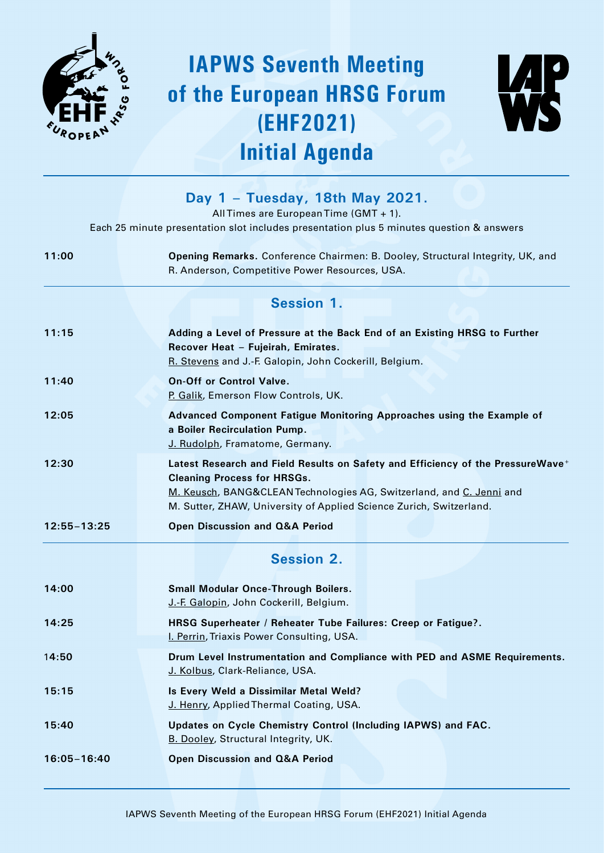

# **IAPWS Seventh Meeting of the European HRSG Forum (EHF2021) Initial Agenda**



|                 | Day 1 - Tuesday, 18th May 2021.<br>All Times are European Time (GMT + 1).<br>Each 25 minute presentation slot includes presentation plus 5 minutes question & answers                                                                                                            |
|-----------------|----------------------------------------------------------------------------------------------------------------------------------------------------------------------------------------------------------------------------------------------------------------------------------|
| 11:00           | Opening Remarks. Conference Chairmen: B. Dooley, Structural Integrity, UK, and<br>R. Anderson, Competitive Power Resources, USA.                                                                                                                                                 |
|                 | <b>Session 1.</b>                                                                                                                                                                                                                                                                |
| 11:15           | Adding a Level of Pressure at the Back End of an Existing HRSG to Further<br>Recover Heat - Fujeirah, Emirates.<br>R. Stevens and J.-F. Galopin, John Cockerill, Belgium.                                                                                                        |
| 11:40           | <b>On-Off or Control Valve.</b><br>P. Galik, Emerson Flow Controls, UK.                                                                                                                                                                                                          |
| 12:05           | Advanced Component Fatigue Monitoring Approaches using the Example of<br>a Boiler Recirculation Pump.<br>J. Rudolph, Framatome, Germany.                                                                                                                                         |
| 12:30           | Latest Research and Field Results on Safety and Efficiency of the PressureWave <sup>+</sup><br><b>Cleaning Process for HRSGs.</b><br>M. Keusch, BANG&CLEAN Technologies AG, Switzerland, and C. Jenni and<br>M. Sutter, ZHAW, University of Applied Science Zurich, Switzerland. |
| $12:55 - 13:25$ | <b>Open Discussion and Q&amp;A Period</b>                                                                                                                                                                                                                                        |
|                 | <b>Session 2.</b>                                                                                                                                                                                                                                                                |
| 14:00           | <b>Small Modular Once-Through Boilers.</b><br>J.-F. Galopin, John Cockerill, Belgium.                                                                                                                                                                                            |
| 14:25           | HRSG Superheater / Reheater Tube Failures: Creep or Fatigue?.<br>I. Perrin, Triaxis Power Consulting, USA.                                                                                                                                                                       |
| 14:50           | Drum Level Instrumentation and Compliance with PED and ASME Requirements.<br>J. Kolbus, Clark-Reliance, USA.                                                                                                                                                                     |
| 15:15           | Is Every Weld a Dissimilar Metal Weld?<br>J. Henry, Applied Thermal Coating, USA.                                                                                                                                                                                                |
| 15:40           | Updates on Cycle Chemistry Control (Including IAPWS) and FAC.<br>B. Dooley, Structural Integrity, UK.                                                                                                                                                                            |
| $16:05 - 16:40$ | <b>Open Discussion and Q&amp;A Period</b>                                                                                                                                                                                                                                        |